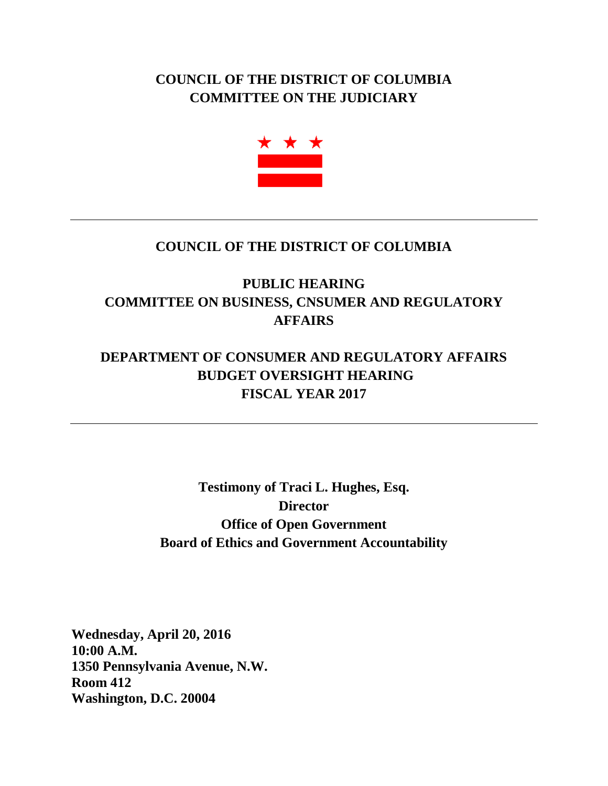## **COUNCIL OF THE DISTRICT OF COLUMBIA COMMITTEE ON THE JUDICIARY**



## **COUNCIL OF THE DISTRICT OF COLUMBIA**

## **PUBLIC HEARING COMMITTEE ON BUSINESS, CNSUMER AND REGULATORY AFFAIRS**

## **DEPARTMENT OF CONSUMER AND REGULATORY AFFAIRS BUDGET OVERSIGHT HEARING FISCAL YEAR 2017**

**Testimony of Traci L. Hughes, Esq. Director Office of Open Government Board of Ethics and Government Accountability**

**Wednesday, April 20, 2016 10:00 A.M. 1350 Pennsylvania Avenue, N.W. Room 412 Washington, D.C. 20004**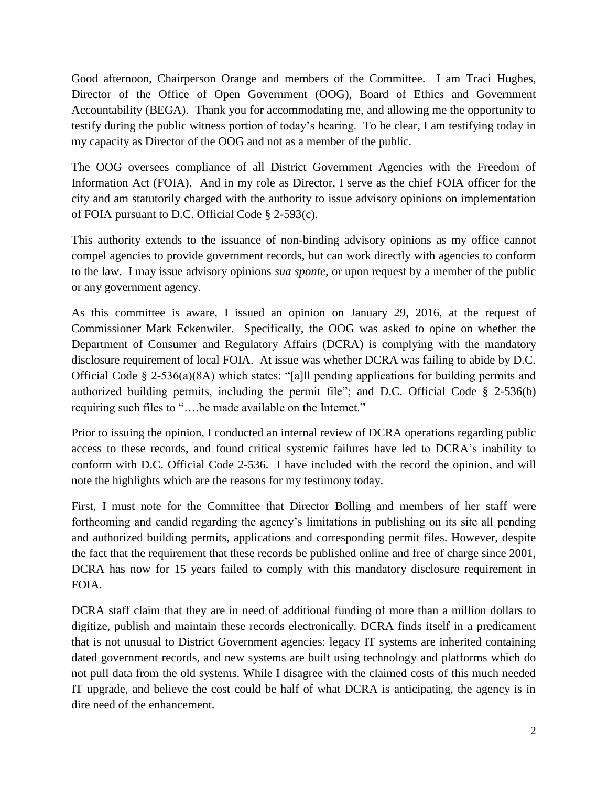Good afternoon, Chairperson Orange and members of the Committee. I am Traci Hughes, Director of the Office of Open Government (OOG), Board of Ethics and Government Accountability (BEGA). Thank you for accommodating me, and allowing me the opportunity to testify during the public witness portion of today's hearing. To be clear, I am testifying today in my capacity as Director of the OOG and not as a member of the public.

The OOG oversees compliance of all District Government Agencies with the Freedom of Information Act (FOIA). And in my role as Director, I serve as the chief FOIA officer for the city and am statutorily charged with the authority to issue advisory opinions on implementation of FOIA pursuant to D.C. Official Code § 2-593(c).

This authority extends to the issuance of non-binding advisory opinions as my office cannot compel agencies to provide government records, but can work directly with agencies to conform to the law. I may issue advisory opinions *sua sponte,* or upon request by a member of the public or any government agency.

As this committee is aware, I issued an opinion on January 29, 2016, at the request of Commissioner Mark Eckenwiler. Specifically, the OOG was asked to opine on whether the Department of Consumer and Regulatory Affairs (DCRA) is complying with the mandatory disclosure requirement of local FOIA. At issue was whether DCRA was failing to abide by D.C. Official Code § 2-536(a)(8A) which states: "[a]ll pending applications for building permits and authorized building permits, including the permit file"; and D.C. Official Code § 2-536(b) requiring such files to "….be made available on the Internet."

Prior to issuing the opinion, I conducted an internal review of DCRA operations regarding public access to these records, and found critical systemic failures have led to DCRA's inability to conform with D.C. Official Code 2-536. I have included with the record the opinion, and will note the highlights which are the reasons for my testimony today.

First, I must note for the Committee that Director Bolling and members of her staff were forthcoming and candid regarding the agency's limitations in publishing on its site all pending and authorized building permits, applications and corresponding permit files. However, despite the fact that the requirement that these records be published online and free of charge since 2001, DCRA has now for 15 years failed to comply with this mandatory disclosure requirement in FOIA.

DCRA staff claim that they are in need of additional funding of more than a million dollars to digitize, publish and maintain these records electronically. DCRA finds itself in a predicament that is not unusual to District Government agencies: legacy IT systems are inherited containing dated government records, and new systems are built using technology and platforms which do not pull data from the old systems. While I disagree with the claimed costs of this much needed IT upgrade, and believe the cost could be half of what DCRA is anticipating, the agency is in dire need of the enhancement.